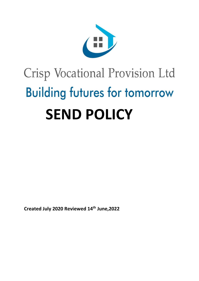

# Crisp Vocational Provision Ltd **Building futures for tomorrow SEND POLICY**

**Created July 2020 Reviewed 14th June,2022**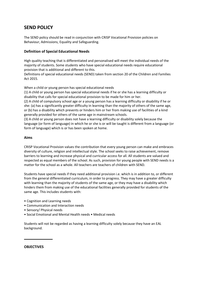# **SEND POLICY**

The SEND policy should be read in conjunction with CRISP Vocational Provision policies on Behaviour, Admissions, Equality and Safeguarding.

# **Definition of Special Educational Needs**

High quality teaching that is differentiated and personalised will meet the individual needs of the majority of students. Some students who have special educational needs require educational provision that is additional and different to this.

Definitions of special educational needs (SEND) taken from section 20 of the Children and Families Act 2015.

When a child or young person has special educational needs

(1) A child or young person has special educational needs if he or she has a learning difficulty or disability that calls for special educational provision to be made for him or her.

(2) A child of compulsory school age or a young person has a learning difficulty or disability if he or she: (a) has a significantly greater difficulty in learning than the majority of others of the same age, or (b) has a disability which prevents or hinders him or her from making use of facilities of a kind generally provided for others of the same age in mainstream schools.

(3) A child or young person does not have a learning difficulty or disability solely because the language (or form of language) in which he or she is or will be taught is different from a language (or form of language) which is or has been spoken at home.

# **Aims**

CRISP Vocational Provision values the contribution that every young person can make and embraces diversity of culture, religion and intellectual style. The school seeks to raise achievement, remove barriers to learning and increase physical and curricular access for all. All students are valued and respected as equal members of the school. As such, provision for young people with SEND needs is a matter for the school as a whole. All teachers are teachers of children with SEND.

Students have special needs if they need additional provision i.e. which is in addition to, or different from the general differentiated curriculum, in order to progress. They may have a greater difficulty with learning than the majority of students of the same age, or they may have a disability which hinders them from making use of the educational facilities generally provided for students of the same age. This includes students with:

- Cognition and Learning needs
- Communication and Interaction needs
- Sensory/ Physical needs
- Social Emotional and Mental Health needs Medical needs

Students will not be regarded as having a learning difficulty solely because they have an EAL background.

#### **OBJECTIVES**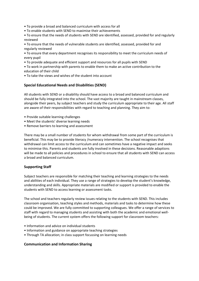- To provide a broad and balanced curriculum with access for all
- To enable students with SEND to maximise their achievements
- To ensure that the needs of students with SEND are identified, assessed, provided for and regularly reviewed
- To ensure that the needs of vulnerable students are identified, assessed, provided for and regularly reviewed
- To ensure that every department recognises its responsibility to meet the curriculum needs of every pupil
- To provide adequate and efficient support and resources for all pupils with SEND
- To work in partnership with parents to enable them to make an active contribution to the education of their child
- To take the views and wishes of the student into account

# **Special Educational Needs and Disabilities (SEND)**

All students with SEND or a disability should have access to a broad and balanced curriculum and should be fully integrated into the school. The vast majority are taught in mainstream classes, alongside their peers, by subject teachers and study the curriculum appropriate to their age. All staff are aware of their responsibilities with regard to teaching and planning. They aim to:

- Provide suitable learning challenges
- Meet the students' diverse learning needs
- Remove barriers to learning and assessment

There may be a small number of students for whom withdrawal from some part of the curriculum is beneficial. This may be to provide literacy /numeracy intervention. The school recognises that withdrawal can limit access to the curriculum and can sometimes have a negative impact and seeks to minimise this. Parents and students are fully involved in these decisions. Reasonable adaptions will be made to all policies and procedures in school to ensure that all students with SEND can access a broad and balanced curriculum.

# **Supporting Staff**

Subject teachers are responsible for matching their teaching and learning strategies to the needs and abilities of each individual. They use a range of strategies to develop the student's knowledge, understanding and skills. Appropriate materials are modified or support is provided to enable the students with SEND to access learning or assessment tasks.

The school and teachers regularly review issues relating to the students with SEND. This includes classroom organisation, teaching styles and methods, materials and tasks to determine how these could be improved. We are fully committed to supporting colleagues. We offer a range of services to staff with regard to managing students and assisting with both the academic and emotional wellbeing of students. The current system offers the following support for classroom teachers:

- Information and advice on individual students
- Information and guidance on appropriate teaching strategies
- Through TA allocation; in class support focussing on learning needs

#### **Communication and Information Sharing**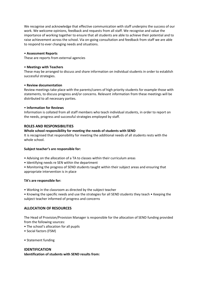We recognise and acknowledge that effective communication with staff underpins the success of our work. We welcome opinions, feedback and requests from all staff. We recognise and value the importance of working together to ensure that all students are able to achieve their potential and to raise achievement across the school. Via on-going consultation and feedback from staff we are able to respond to ever changing needs and situations.

#### • **Assessment Reports**

These are reports from external agencies

#### • **Meetings with Teachers**

These may be arranged to discuss and share information on individual students in order to establish successful strategies.

# • **Review documentation**

Review meetings take place with the parents/carers of high priority students for example those with statements, to discuss progress and/or concerns. Relevant information from these meetings will be distributed to all necessary parties.

# • **Information for Reviews**

Information is collated from all staff members who teach individual students, in order to report on the needs, progress and successful strategies employed by staff.

# **ROLES AND RESPONSIBILITIES**

# **Whole school responsibility for meeting the needs of students with SEND**

It is recognised that responsibility for meeting the additional needs of all students rests with the whole school.

#### **Subject teacher's are responsible for:**

- Advising on the allocation of a TA to classes within their curriculum areas
- Identifying needs re SEN within the department
- Monitoring the progress of SEND students taught within their subject areas and ensuring that appropriate intervention is in place

#### **TA's are responsible for:**

- Working in the classroom as directed by the subject teacher
- Knowing the specific needs and use the strategies for all SEND students they teach Keeping the subject teacher informed of progress and concerns

# **ALLOCATION OF RESOURCES**

The Head of Provision/Provision Manager is responsible for the allocation of SEND funding provided from the following sources:

- The school's allocation for all pupils
- Social factors (FSM)
- Statement funding

# **IDENTIFICATION**

**Identification of students with SEND results from:**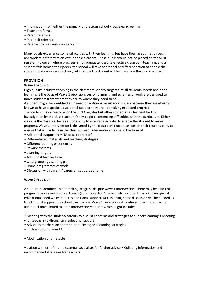- Information from either the primary or previous school Dyslexia Screening
- Teacher referrals
- Parent referrals
- Pupil self referrals
- Referral from an outside agency

Many pupils experience some difficulties with their learning, but have their needs met through appropriate differentiation within the classroom. These pupils would not be placed on the SEND register. However, where progress is not adequate, despite effective classroom teaching, and a student falls behind their peers, the school will take additional or different action to enable the student to learn more effectively. At this point, a student will be placed on the SEND register.

# **PROVISION**

#### **Wave 1 Provision**

High quality inclusive teaching in the classroom, clearly targeted at all students' needs and prior learning, is the basis of Wave 1 provision. Lesson planning and schemes of work are designed to move students from where they are to where they need to be.

A student might be identified as in need of additional assistance in class because they are already known to have a special educational need or they are not making expected progress.

The student may already be on the SEND register but other students can be identified for investigation by the class teacher if they begin experiencing difficulties with the curriculum. Either way it is the class teacher's responsibility to intervene in order to enable the student to make progress. Wave 1 intervention is delivered by the classroom teacher as part of their responsibility to ensure that all students in the class succeed. Intervention may be in the form of:

- Additional support from TA or support staff
- Differentiated materials and teaching strategies
- Different learning experiences
- Reward systems
- Learning targets
- Additional teacher time
- Class grouping / seating plan
- Home programmes of work
- Discussion with parent / carers on support at home

#### **Wave 2 Provision**

A student is identified as not making progress despite wave 1 intervention. There may be a lack of progress across several subject areas (core subjects). Alternatively, a student has a known special educational need which requires additional support. At this point, some discussion will be needed as to additional support the school can provide. Wave 1 provision will continue, plus there may be additional time limited tailored intervention/support which might include:

• Meeting with the student/parents to discuss concerns and strategies to support learning • Meeting with teachers to discuss strategies and support

- Advice to teachers on appropriate teaching and learning strategies
- In class support from TA
- Modification of timetable

• Liaison with or referral to external specialists for further advice • Collating information and recommended strategies for teachers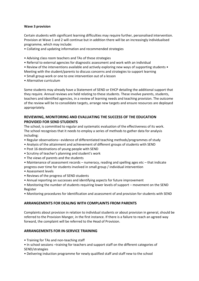#### **Wave 3 provision**

Certain students with significant learning difficulties may require further, personalised intervention. Provision at Wave 1 and 2 will continue but in addition there will be an increasingly individualised programme, which may include:

- Collating and updating information and recommended strategies
- Advising class room teachers and TAs of these strategies
- Referral to external agencies for diagnostic assessment and work with an individual
- Review of the interventions available and actively exploring new ways of supporting students Meeting with the student/parents to discuss concerns and strategies to support learning
- Small group work or one to one intervention out of a lesson
- Alternative curriculum

Some students may already have a Statement of SEND or EHCP detailing the additional support that they require. Annual reviews are held relating to these students. These involve parents, students, teachers and identified agencies, in a review of learning needs and teaching provision. The outcome of the review will be to consolidate targets, arrange new targets and ensure resources are deployed appropriately.

# **REVIEWING, MONITORING AND EVALUATING THE SUCCESS OF THE EDUCATION PROVIDED FOR SEND STUDENTS**

The school, is committed to regular and systematic evaluation of the effectiveness of its work. The school recognises that it needs to employ a series of methods to gather data for analysis including:

- Regular observations– evidence of differentiated teaching methods/programmes of study
- Analysis of the attainment and achievement of different groups of students with SEND
- Post 16 destinations of young people with SEND
- Scrutiny of teacher's planning and student's work
- The views of parents and the students
- Maintenance of assessment records numeracy, reading and spelling ages etc that indicate progress over time for students involved in small group / individual intervention
- Assessment levels
- Reviews of the progress of SEND students
- Annual reporting on successes and identifying aspects for future improvement
- Monitoring the number of students requiring lower levels of support movement on the SEND Register
- Monitoring procedures for identification and assessment of and provision for students with SEND

# **ARRANGEMENTS FOR DEALING WITH COMPLAINTS FROM PARENTS**

Complaints about provision in relation to individual students or about provision in general, should be referred to the Provision Manger, in the first instance. If there is a failure to reach an agreed way forward, the complaint will be referred to the Head of Provision.

# **ARRANGEMENTS FOR IN-SERVICE TRAINING**

- Training for TAs and non-teaching staff
- In school sessions –training for teachers and support staff on the different categories of SEND/strategies
- Delivering induction programme for newly qualified staff and staff new to the school